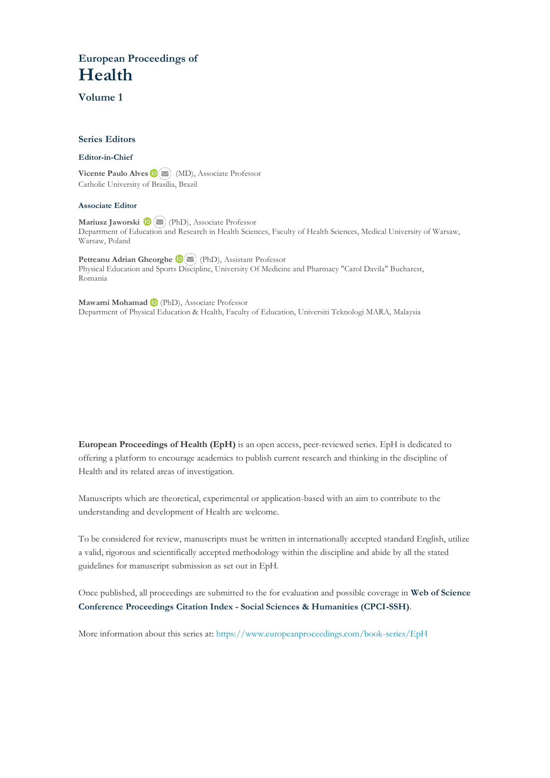### **European Proceedings of Health**

**Volume 1**

#### **Series Editors**

#### **Editor-in-Chief**

**VicentePaulo Alves** (MD), Associate Professor Catholic University of Brasília, Brazil

#### **Associate Editor**

**Mariusz Jaworski** (PhD), Associate Professor Department of Education and Research in Health Sciences, Faculty of Health Sciences, Medical University of Warsaw, Warsaw, Poland

**Petreanu Adrian Gheorghe**(PhD), Assistant Professor Physical Education and Sports Discipline, University Of Medicine and Pharmacy "Carol Davila" Bucharest, Romania

**Mawarni Mohamad**(PhD), Associate Professor Department of Physical Education & Health, Faculty of Education, Universiti Teknologi MARA, Malaysia

**European Proceedings of Health (EpH)** is an open access, peer-reviewed series. EpH is dedicated to offering a platform to encourage academics to publish current research and thinking in the discipline of Health and its related areas of investigation.

Manuscripts which are theoretical, experimental or application-based with an aim to contribute to the understanding and development of Health are welcome.

To be considered for review, manuscripts must be written in internationally accepted standard English, utilize a valid, rigorous and scientifically accepted methodology within the discipline and abide by all the stated guidelines for manuscript submission as set out in EpH.

Once published, all proceedings are submitted to the for evaluation and possible coverage in **Web of [Science](https://clarivate.com/webofsciencegroup/solutions/webofscience-cpci/) Conference [Proceedings](https://clarivate.com/webofsciencegroup/solutions/webofscience-cpci/) Citation Index - Social Sciences & Humanities (CPCI-SSH)**.

More information about this series at: <https://www.europeanproceedings.com/book-series/EpH>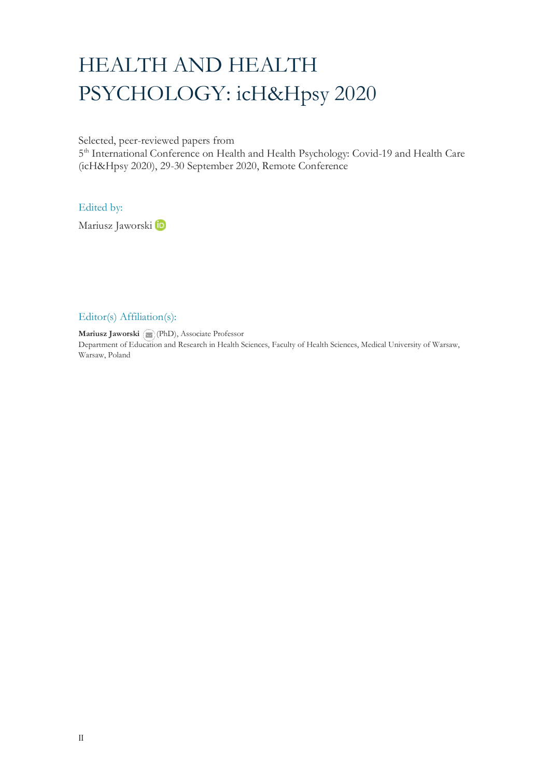# HEALTH AND HEALTH PSYCHOLOGY: icH&Hpsy 2020

Selected, peer-reviewed papers from

5<sup>th</sup> International Conference on Health and Health Psychology: Covid-19 and Health Care (icH&Hpsy 2020), 29-30 September 2020, Remote Conference

Edited by:

MariuszJaworski b

#### Editor(s) Affiliation(s):

**Mariusz Jaworski** (PhD), Associate Professor Department of Ed[ucatio](mailto:mariusz.jaworski@onet.pl)n and Research in Health Sciences, Faculty of Health Sciences, Medical University of Warsaw, Warsaw, Poland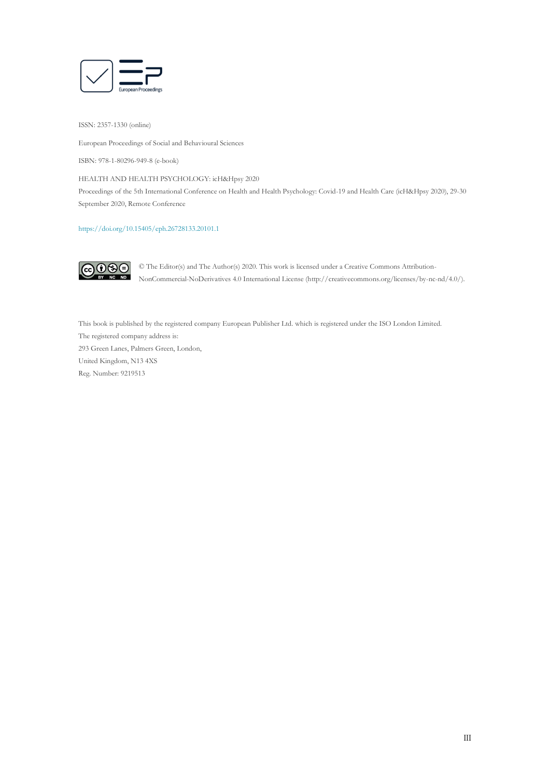

ISSN: 2357-1330 (online)

European Proceedings of Social and Behavioural Sciences

ISBN: 978-1-80296-949-8 (e-book)

HEALTH AND HEALTH PSYCHOLOGY: icH&Hpsy 2020

Proceedings of the 5th International Conference on Health and Health Psychology: Covid-19 and Health Care (icH&Hpsy 2020), 29-30 September 2020, Remote Conference

#### <https://doi.org/10.15405/eph.26728133.20101.1>



© The Editor(s) and The Author(s) 2020. This work is licensed under a Creative Commons Attribution-NonCommercial-NoDerivatives 4.0 International License (http://creativecommons.org/licenses/by-nc-nd/4.0/).

This book is published by the registered company European Publisher Ltd. which is registered under the ISO London Limited. The registered company address is: 293 Green Lanes, Palmers Green, London, United Kingdom, N13 4XS Reg. Number: 9219513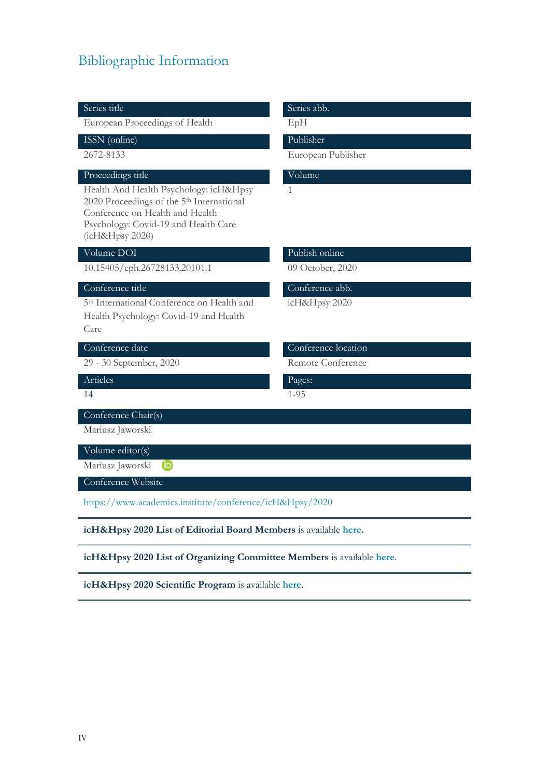## Bibliographic Information

| Series title                                                                                                                                                                                  | Series abb.         |
|-----------------------------------------------------------------------------------------------------------------------------------------------------------------------------------------------|---------------------|
| European Proceedings of Health                                                                                                                                                                | EpH                 |
| ISSN (online)                                                                                                                                                                                 | Publisher           |
| 2672-8133                                                                                                                                                                                     | European Publisher  |
| Proceedings title                                                                                                                                                                             | Volume              |
| Health And Health Psychology: icH&Hpsy<br>2020 Proceedings of the 5 <sup>th</sup> International<br>Conference on Health and Health<br>Psychology: Covid-19 and Health Care<br>(icH&Hpsy 2020) | 1                   |
| Volume DOI                                                                                                                                                                                    | Publish online      |
| 10.15405/eph.26728133.20101.1                                                                                                                                                                 | 09 October, 2020    |
| Conference title                                                                                                                                                                              | Conference abb.     |
| 5 <sup>th</sup> International Conference on Health and<br>Health Psychology: Covid-19 and Health<br>Care                                                                                      | icH&Hpsy 2020       |
| Conference date                                                                                                                                                                               | Conference location |
| 29 - 30 September, 2020                                                                                                                                                                       | Remote Conference   |
| Articles                                                                                                                                                                                      | Pages:              |
| 14                                                                                                                                                                                            | $1 - 95$            |
| Conference Chair(s)                                                                                                                                                                           |                     |
| Mariusz Jaworski                                                                                                                                                                              |                     |
| Volume editor(s)                                                                                                                                                                              |                     |
| Mariusz Jaworski<br>(iD                                                                                                                                                                       |                     |
| Conference Website                                                                                                                                                                            |                     |
| https://www.academics.institute/conference/icH&Hpsy/2020                                                                                                                                      |                     |
| icH&Hpsy 2020 List of Editorial Board Members is available here.                                                                                                                              |                     |
| icH&Hpsy 2020 List of Organizing Committee Members is available here.                                                                                                                         |                     |
| icH&Hpsy 2020 Scientific Program is available here.                                                                                                                                           |                     |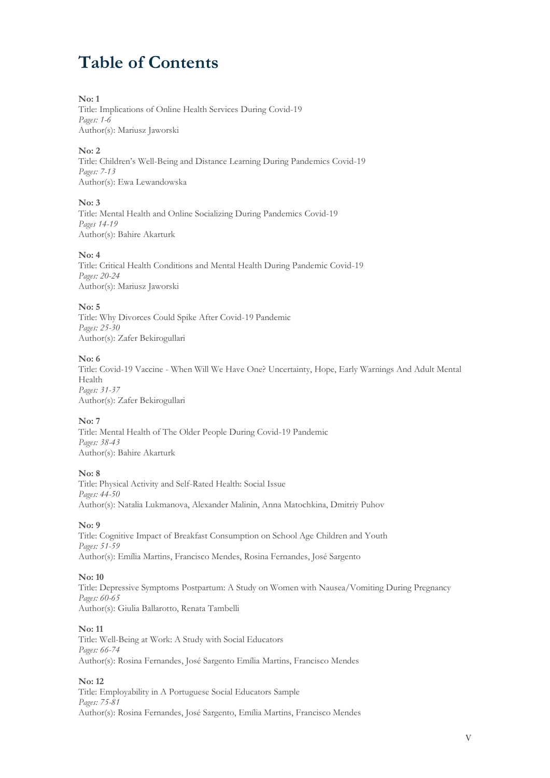### **Table of Contents**

#### **No: 1**

Title: Implications of Online Health Services During Covid-19 *Pages: 1-6* Author(s): Mariusz Jaworski

#### **No: 2**

Title: Children's Well-Being and Distance Learning During Pandemics Covid-19 *Pages: 7-13* Author(s): Ewa Lewandowska

#### **No: 3**

Title: Mental Health and Online Socializing During Pandemics Covid-19 *Pages 14-19* Author(s): Bahire Akarturk

#### **No: 4**

Title: Critical Health Conditions and Mental Health During Pandemic Covid-19 *Pages: 20-24* Author(s): Mariusz Jaworski

#### **No: 5**

Title: Why Divorces Could Spike After Covid-19 Pandemic *Pages: 25-30* Author(s): Zafer Bekirogullari

#### **No: 6**

Title: Covid-19 Vaccine - When Will We Have One? Uncertainty, Hope, Early Warnings And Adult Mental Health *Pages: 31-37* Author(s): Zafer Bekirogullari

#### **No: 7**

Title: Mental Health of The Older People During Covid-19 Pandemic *Pages: 38-43* Author(s): Bahire Akarturk

#### **No: 8**

Title: Physical Activity and Self-Rated Health: Social Issue *Pages: 44-50* Author(s): Natalia Lukmanova, Alexander Malinin, Anna Matochkina, Dmitriy Puhov

#### **No: 9**

Title: Cognitive Impact of Breakfast Consumption on School Age Children and Youth *Pages: 51-59* Author(s): Emília Martins, Francisco Mendes, Rosina Fernandes, José Sargento

#### **No: 10**

Title: Depressive Symptoms Postpartum: A Study on Women with Nausea/Vomiting During Pregnancy *Pages: 60-65* Author(s): Giulia Ballarotto, Renata Tambelli

#### **No: 11**

Title: Well-Being at Work: A Study with Social Educators *Pages: 66-74* Author(s): Rosina Fernandes, José Sargento Emília Martins, Francisco Mendes

#### **No: 12**

Title: Employability in A Portuguese Social Educators Sample *Pages: 75-81* Author(s): Rosina Fernandes, José Sargento, Emília Martins, Francisco Mendes